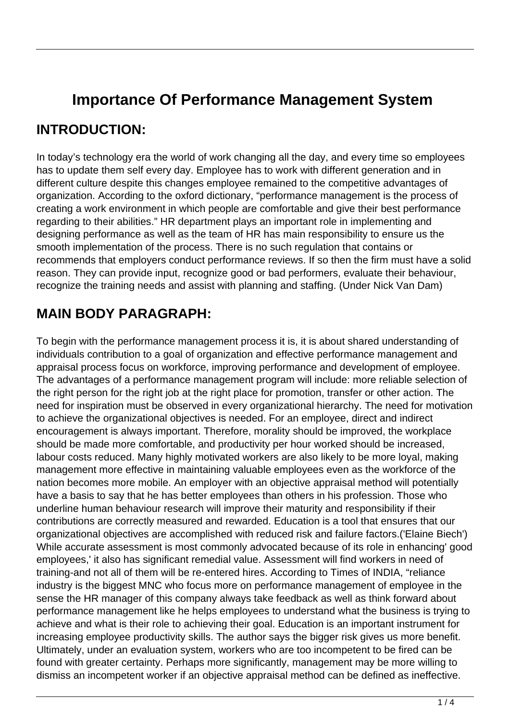# **Importance Of Performance Management System**

### **INTRODUCTION:**

In today's technology era the world of work changing all the day, and every time so employees has to update them self every day. Employee has to work with different generation and in different culture despite this changes employee remained to the competitive advantages of organization. According to the oxford dictionary, "performance management is the process of creating a work environment in which people are comfortable and give their best performance regarding to their abilities." HR department plays an important role in implementing and designing performance as well as the team of HR has main responsibility to ensure us the smooth implementation of the process. There is no such regulation that contains or recommends that employers conduct performance reviews. If so then the firm must have a solid reason. They can provide input, recognize good or bad performers, evaluate their behaviour, recognize the training needs and assist with planning and staffing. (Under Nick Van Dam)

## **MAIN BODY PARAGRAPH:**

To begin with the performance management process it is, it is about shared understanding of individuals contribution to a goal of organization and effective performance management and appraisal process focus on workforce, improving performance and development of employee. The advantages of a performance management program will include: more reliable selection of the right person for the right job at the right place for promotion, transfer or other action. The need for inspiration must be observed in every organizational hierarchy. The need for motivation to achieve the organizational objectives is needed. For an employee, direct and indirect encouragement is always important. Therefore, morality should be improved, the workplace should be made more comfortable, and productivity per hour worked should be increased, labour costs reduced. Many highly motivated workers are also likely to be more loyal, making management more effective in maintaining valuable employees even as the workforce of the nation becomes more mobile. An employer with an objective appraisal method will potentially have a basis to say that he has better employees than others in his profession. Those who underline human behaviour research will improve their maturity and responsibility if their contributions are correctly measured and rewarded. Education is a tool that ensures that our organizational objectives are accomplished with reduced risk and failure factors.('Elaine Biech') While accurate assessment is most commonly advocated because of its role in enhancing' good employees,' it also has significant remedial value. Assessment will find workers in need of training-and not all of them will be re-entered hires. According to Times of INDIA, "reliance industry is the biggest MNC who focus more on performance management of employee in the sense the HR manager of this company always take feedback as well as think forward about performance management like he helps employees to understand what the business is trying to achieve and what is their role to achieving their goal. Education is an important instrument for increasing employee productivity skills. The author says the bigger risk gives us more benefit. Ultimately, under an evaluation system, workers who are too incompetent to be fired can be found with greater certainty. Perhaps more significantly, management may be more willing to dismiss an incompetent worker if an objective appraisal method can be defined as ineffective.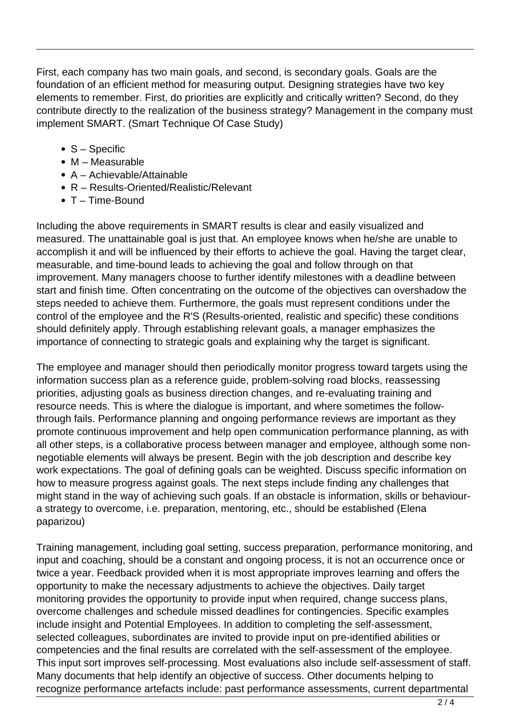First, each company has two main goals, and second, is secondary goals. Goals are the foundation of an efficient method for measuring output. Designing strategies have two key elements to remember. First, do priorities are explicitly and critically written? Second, do they contribute directly to the realization of the business strategy? Management in the company must implement SMART. (Smart Technique Of Case Study)

- S Specific
- $\bullet$  M Measurable
- A Achievable/Attainable
- R Results-Oriented/Realistic/Relevant
- T Time-Bound

Including the above requirements in SMART results is clear and easily visualized and measured. The unattainable goal is just that. An employee knows when he/she are unable to accomplish it and will be influenced by their efforts to achieve the goal. Having the target clear, measurable, and time-bound leads to achieving the goal and follow through on that improvement. Many managers choose to further identify milestones with a deadline between start and finish time. Often concentrating on the outcome of the objectives can overshadow the steps needed to achieve them. Furthermore, the goals must represent conditions under the control of the employee and the R'S (Results-oriented, realistic and specific) these conditions should definitely apply. Through establishing relevant goals, a manager emphasizes the importance of connecting to strategic goals and explaining why the target is significant.

The employee and manager should then periodically monitor progress toward targets using the information success plan as a reference guide, problem-solving road blocks, reassessing priorities, adjusting goals as business direction changes, and re-evaluating training and resource needs. This is where the dialogue is important, and where sometimes the followthrough fails. Performance planning and ongoing performance reviews are important as they promote continuous improvement and help open communication performance planning, as with all other steps, is a collaborative process between manager and employee, although some nonnegotiable elements will always be present. Begin with the job description and describe key work expectations. The goal of defining goals can be weighted. Discuss specific information on how to measure progress against goals. The next steps include finding any challenges that might stand in the way of achieving such goals. If an obstacle is information, skills or behavioura strategy to overcome, i.e. preparation, mentoring, etc., should be established (Elena paparizou)

Training management, including goal setting, success preparation, performance monitoring, and input and coaching, should be a constant and ongoing process, it is not an occurrence once or twice a year. Feedback provided when it is most appropriate improves learning and offers the opportunity to make the necessary adjustments to achieve the objectives. Daily target monitoring provides the opportunity to provide input when required, change success plans, overcome challenges and schedule missed deadlines for contingencies. Specific examples include insight and Potential Employees. In addition to completing the self-assessment, selected colleagues, subordinates are invited to provide input on pre-identified abilities or competencies and the final results are correlated with the self-assessment of the employee. This input sort improves self-processing. Most evaluations also include self-assessment of staff. Many documents that help identify an objective of success. Other documents helping to recognize performance artefacts include: past performance assessments, current departmental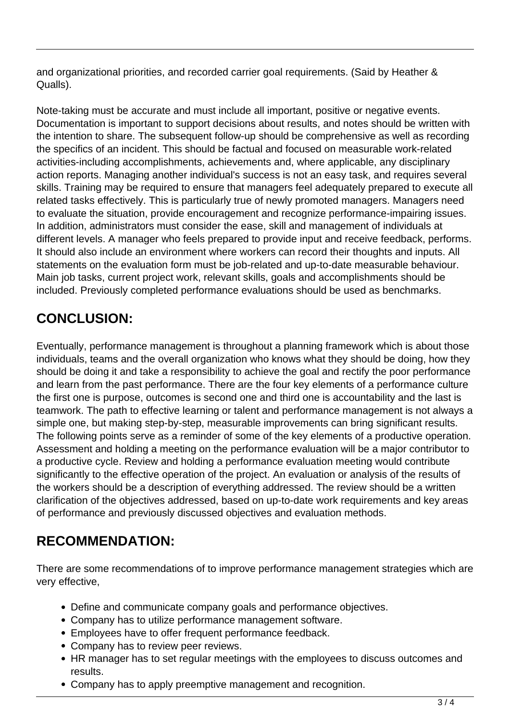and organizational priorities, and recorded carrier goal requirements. (Said by Heather & Qualls).

Note-taking must be accurate and must include all important, positive or negative events. Documentation is important to support decisions about results, and notes should be written with the intention to share. The subsequent follow-up should be comprehensive as well as recording the specifics of an incident. This should be factual and focused on measurable work-related activities-including accomplishments, achievements and, where applicable, any disciplinary action reports. Managing another individual's success is not an easy task, and requires several skills. Training may be required to ensure that managers feel adequately prepared to execute all related tasks effectively. This is particularly true of newly promoted managers. Managers need to evaluate the situation, provide encouragement and recognize performance-impairing issues. In addition, administrators must consider the ease, skill and management of individuals at different levels. A manager who feels prepared to provide input and receive feedback, performs. It should also include an environment where workers can record their thoughts and inputs. All statements on the evaluation form must be job-related and up-to-date measurable behaviour. Main job tasks, current project work, relevant skills, goals and accomplishments should be included. Previously completed performance evaluations should be used as benchmarks.

# **CONCLUSION:**

Eventually, performance management is throughout a planning framework which is about those individuals, teams and the overall organization who knows what they should be doing, how they should be doing it and take a responsibility to achieve the goal and rectify the poor performance and learn from the past performance. There are the four key elements of a performance culture the first one is purpose, outcomes is second one and third one is accountability and the last is teamwork. The path to effective learning or talent and performance management is not always a simple one, but making step-by-step, measurable improvements can bring significant results. The following points serve as a reminder of some of the key elements of a productive operation. Assessment and holding a meeting on the performance evaluation will be a major contributor to a productive cycle. Review and holding a performance evaluation meeting would contribute significantly to the effective operation of the project. An evaluation or analysis of the results of the workers should be a description of everything addressed. The review should be a written clarification of the objectives addressed, based on up-to-date work requirements and key areas of performance and previously discussed objectives and evaluation methods.

## **RECOMMENDATION:**

There are some recommendations of to improve performance management strategies which are very effective,

- Define and communicate company goals and performance objectives.
- Company has to utilize performance management software.
- Employees have to offer frequent performance feedback.
- Company has to review peer reviews.
- HR manager has to set regular meetings with the employees to discuss outcomes and results.
- Company has to apply preemptive management and recognition.